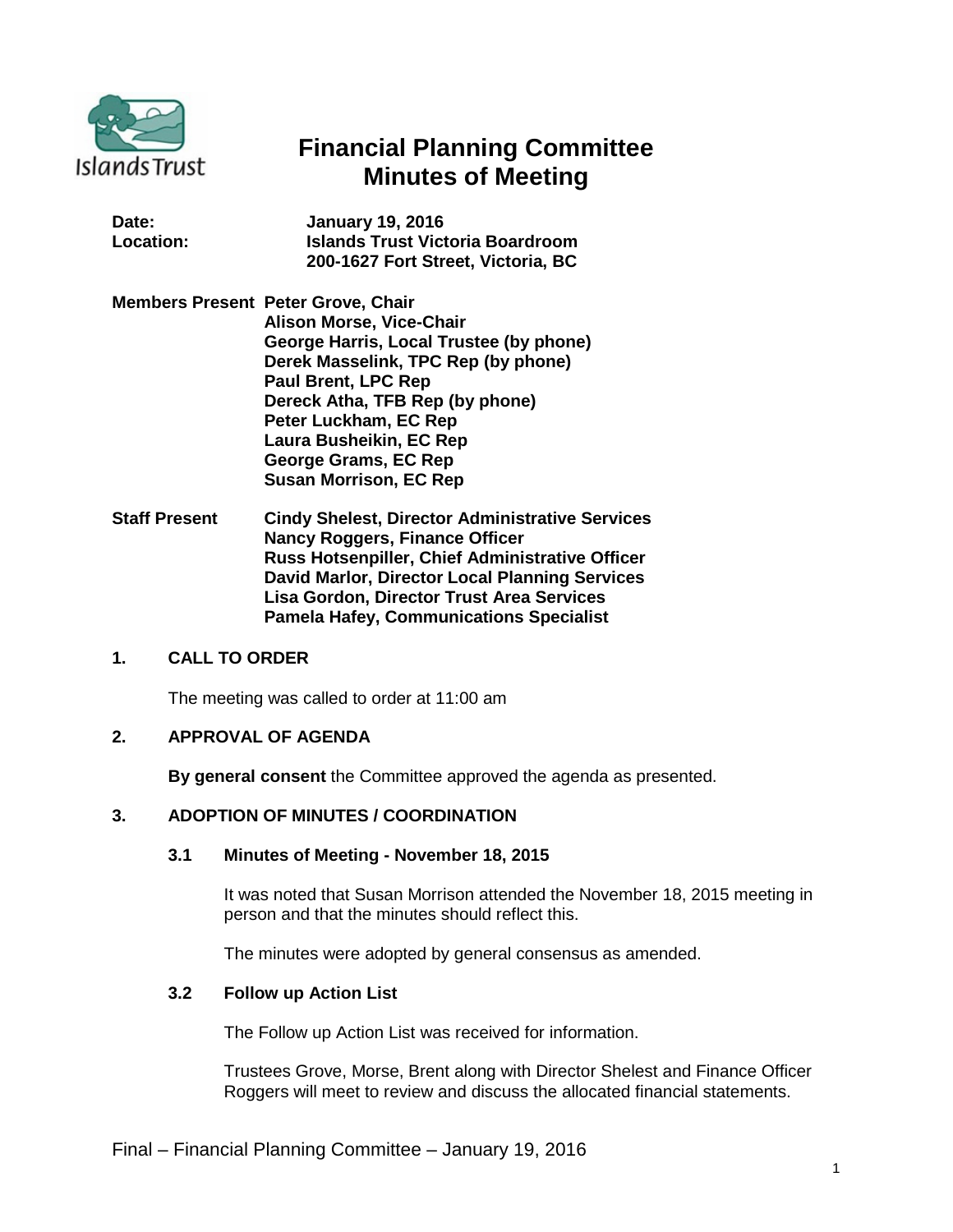

# **Financial Planning Committee Minutes of Meeting**

| Date:     | <b>January 19, 2016</b>                 |
|-----------|-----------------------------------------|
| Location: | <b>Islands Trust Victoria Boardroom</b> |
|           | 200-1627 Fort Street, Victoria, BC      |

- **Members Present Peter Grove, Chair Alison Morse, Vice-Chair George Harris, Local Trustee (by phone) Derek Masselink, TPC Rep (by phone) Paul Brent, LPC Rep Dereck Atha, TFB Rep (by phone) Peter Luckham, EC Rep Laura Busheikin, EC Rep George Grams, EC Rep Susan Morrison, EC Rep**
- **Staff Present Cindy Shelest, Director Administrative Services Nancy Roggers, Finance Officer Russ Hotsenpiller, Chief Administrative Officer David Marlor, Director Local Planning Services Lisa Gordon, Director Trust Area Services Pamela Hafey, Communications Specialist**

## **1. CALL TO ORDER**

The meeting was called to order at 11:00 am

### **2. APPROVAL OF AGENDA**

**By general consent** the Committee approved the agenda as presented.

### **3. ADOPTION OF MINUTES / COORDINATION**

#### **3.1 Minutes of Meeting - November 18, 2015**

It was noted that Susan Morrison attended the November 18, 2015 meeting in person and that the minutes should reflect this.

The minutes were adopted by general consensus as amended.

## **3.2 Follow up Action List**

The Follow up Action List was received for information.

Trustees Grove, Morse, Brent along with Director Shelest and Finance Officer Roggers will meet to review and discuss the allocated financial statements.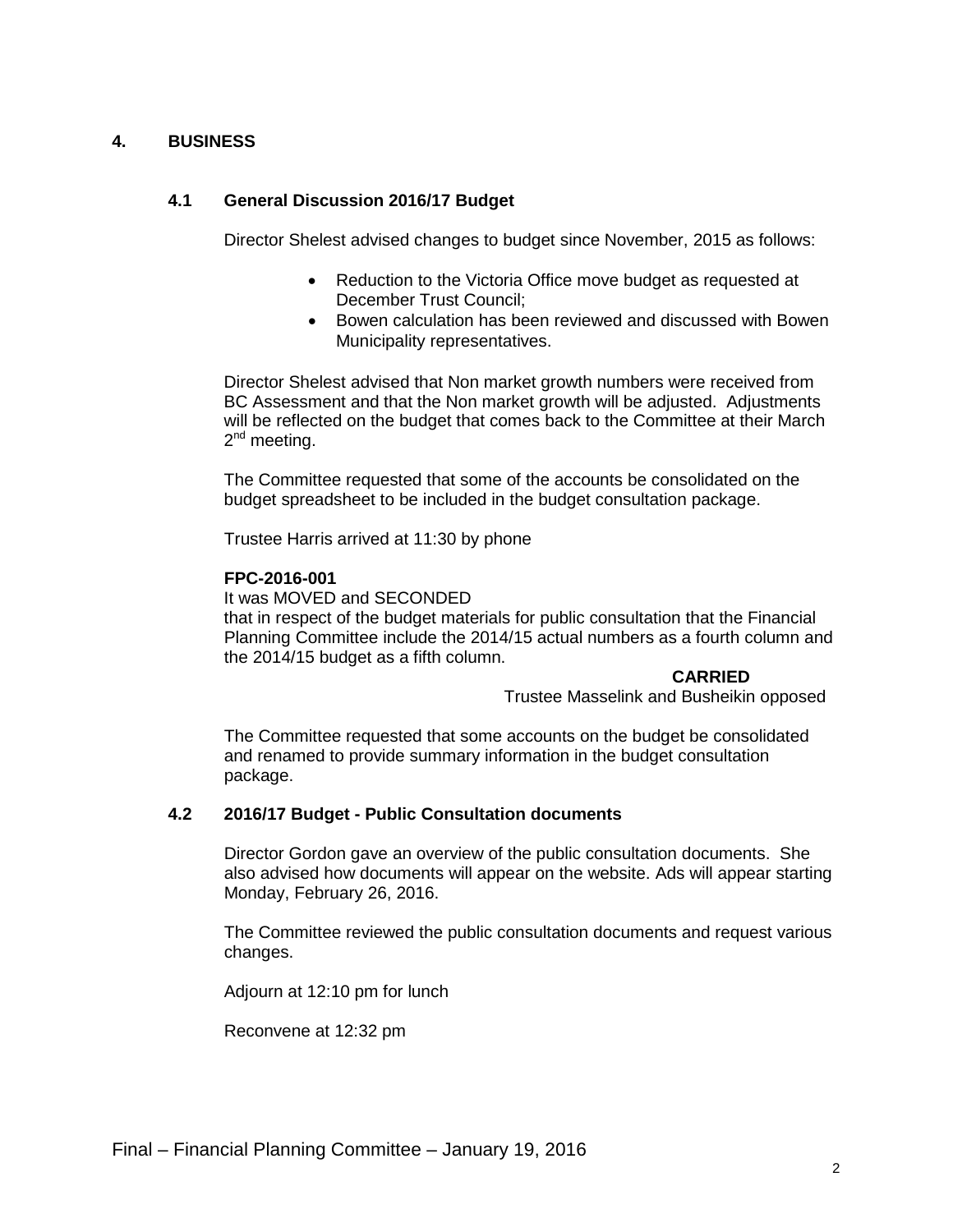## **4. BUSINESS**

## **4.1 General Discussion 2016/17 Budget**

Director Shelest advised changes to budget since November, 2015 as follows:

- Reduction to the Victoria Office move budget as requested at December Trust Council;
- Bowen calculation has been reviewed and discussed with Bowen Municipality representatives.

Director Shelest advised that Non market growth numbers were received from BC Assessment and that the Non market growth will be adjusted. Adjustments will be reflected on the budget that comes back to the Committee at their March  $2^{nd}$  meeting.

The Committee requested that some of the accounts be consolidated on the budget spreadsheet to be included in the budget consultation package.

Trustee Harris arrived at 11:30 by phone

## **FPC-2016-001**

It was MOVED and SECONDED that in respect of the budget materials for public consultation that the Financial Planning Committee include the 2014/15 actual numbers as a fourth column and the 2014/15 budget as a fifth column.

#### **CARRIED**

Trustee Masselink and Busheikin opposed

The Committee requested that some accounts on the budget be consolidated and renamed to provide summary information in the budget consultation package.

## **4.2 2016/17 Budget - Public Consultation documents**

Director Gordon gave an overview of the public consultation documents. She also advised how documents will appear on the website. Ads will appear starting Monday, February 26, 2016.

The Committee reviewed the public consultation documents and request various changes.

Adjourn at 12:10 pm for lunch

Reconvene at 12:32 pm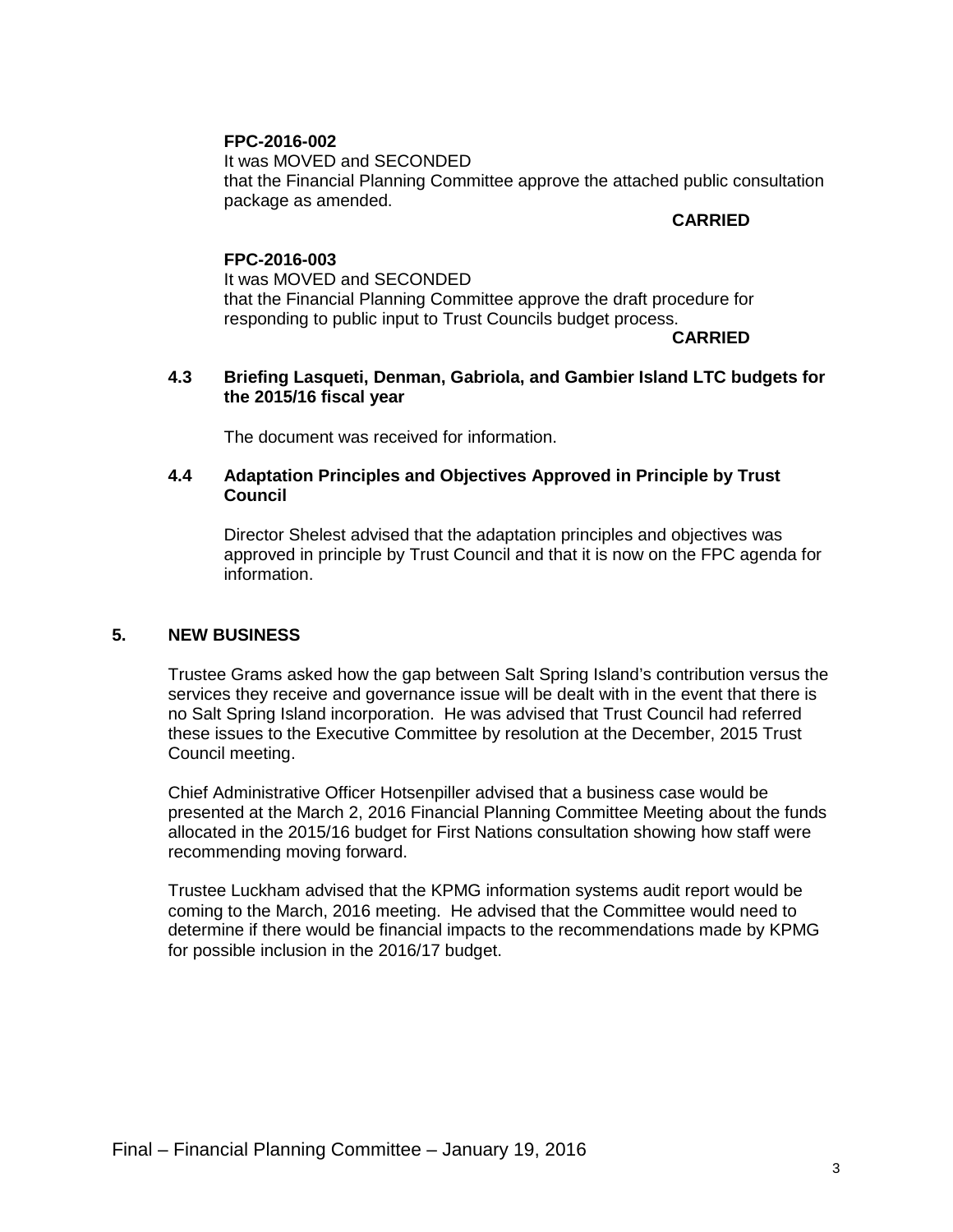## **FPC-2016-002**

It was MOVED and SECONDED that the Financial Planning Committee approve the attached public consultation package as amended.

#### **CARRIED**

#### **FPC-2016-003**

It was MOVED and SECONDED that the Financial Planning Committee approve the draft procedure for responding to public input to Trust Councils budget process.

#### **CARRIED**

## **4.3 Briefing Lasqueti, Denman, Gabriola, and Gambier Island LTC budgets for the 2015/16 fiscal year**

The document was received for information.

#### **4.4 Adaptation Principles and Objectives Approved in Principle by Trust Council**

Director Shelest advised that the adaptation principles and objectives was approved in principle by Trust Council and that it is now on the FPC agenda for information.

#### **5. NEW BUSINESS**

Trustee Grams asked how the gap between Salt Spring Island's contribution versus the services they receive and governance issue will be dealt with in the event that there is no Salt Spring Island incorporation. He was advised that Trust Council had referred these issues to the Executive Committee by resolution at the December, 2015 Trust Council meeting.

Chief Administrative Officer Hotsenpiller advised that a business case would be presented at the March 2, 2016 Financial Planning Committee Meeting about the funds allocated in the 2015/16 budget for First Nations consultation showing how staff were recommending moving forward.

Trustee Luckham advised that the KPMG information systems audit report would be coming to the March, 2016 meeting. He advised that the Committee would need to determine if there would be financial impacts to the recommendations made by KPMG for possible inclusion in the 2016/17 budget.